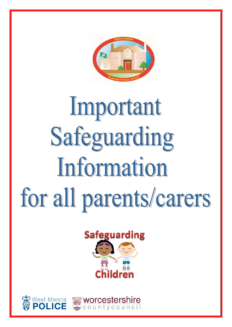

# Important Safeguarding Information for all parents/carers



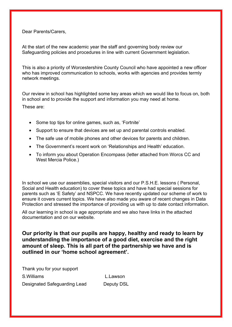Dear Parents/Carers,

At the start of the new academic year the staff and governing body review our Safeguarding policies and procedures in line with current Government legislation.

This is also a priority of Worcestershire County Council who have appointed a new officer who has improved communication to schools, works with agencies and provides termly network meetings.

Our review in school has highlighted some key areas which we would like to focus on, both in school and to provide the support and information you may need at home.

These are:

- Some top tips for online games, such as, 'Fortnite'
- Support to ensure that devices are set up and parental controls enabled.
- The safe use of mobile phones and other devices for parents and children.
- The Government's recent work on 'Relationships and Health' education.
- To inform you about Operation Encompass (letter attached from Worcs CC and West Mercia Police.)

In school we use our assemblies, special visitors and our P.S.H.E. lessons (Personal, Social and Health education) to cover these topics and have had special sessions for parents such as 'E Safety' and NSPCC. We have recently updated our scheme of work to ensure it covers current topics. We have also made you aware of recent changes in Data Protection and stressed the importance of providing us with up to date contact information.

All our learning in school is age appropriate and we also have links in the attached documentation and on our website.

**Our priority is that our pupils are happy, healthy and ready to learn by understanding the importance of a good diet, exercise and the right amount of sleep. This is all part of the partnership we have and is outlined in our 'home school agreement'.** 

Thank you for your support S.Williams L.Lawson Designated Safeguarding Lead Deputy DSL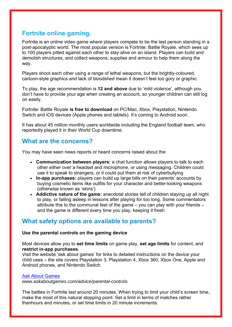# **Fortnite online gaming.**

Fortnite is an online video game where players compete to be the last person standing in a post-apocalyptic world. The most popular version is Fortnite: Battle Royale, which sees up to 100 players pitted against each other to stay alive on an island. Players can build and demolish structures, and collect weapons, supplies and armour to help them along the way.

Players shoot each other using a range of lethal weapons, but the brightly-coloured, cartoon-style graphics and lack of bloodshed mean it doesn't feel too gory or graphic.

To play, the age recommendation is **12 and above** due to 'mild violence', although you don't have to provide your age when creating an account, so younger children can still log on easily.

Fortnite: Battle Royale **is free to download** on PC/Mac, Xbox, Playstation, Nintendo Switch and iOS devices (Apple phones and tablets). It's coming to Android soon.

It has about 45 million monthly users worldwide including the England football team, who reportedly played it in their World Cup downtime.

# **What are the concerns?**

You may have seen news reports or heard concerns raised about the:

- **Communication between players:** a chat function allows players to talk to each other either over a headset and microphone, or using messaging. Children could use it to speak to strangers, or it could put them at risk of cyberbullying
- **In-app purchases:** players can build up large bills on their parents' accounts by buying cosmetic items like outfits for your character and better-looking weapons (otherwise known as 'skins')
- **Addictive nature of the game:** anecdotal stories tell of children staying up all night to play, or falling asleep in lessons after playing for too long. Some commentators attribute this to the communal feel of the game – you can play with your friends – and the game is different every time you play, keeping it fresh

# **What safety options are available to parents?**

# **Use the parental controls on the gaming device**

Most devices allow you to **set time limits** on game play, **set age limits** for content, and **restrict in-app purchases**.

Visit the website 'ask about games' for links to detailed instructions on the device your child uses – the site covers Playstation 3, Playstation 4, Xbox 360, Xbox One, Apple and Android phones, and Nintendo Switch.

# Ask About Games

*www.askaboutgames.com/advice/parental-controls*

The battles in Fortnite last around 20 minutes. When trying to limit your child's screen time, make the most of this natural stopping point. Set a limit in terms of matches rather thanhours and minutes, or set time limits in 20 minute increments.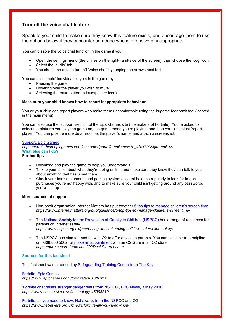# **Turn off the voice chat feature**

Speak to your child to make sure they know this feature exists, and encourage them to use the options below if they encounter someone who is offensive or inappropriate.

You can disable the voice chat function in the game if you:

- Open the settings menu (the 3 lines on the right-hand-side of the screen), then choose the 'cog' icon
- Select the 'audio' tab
- You should be able to turn off 'voice chat' by tapping the arrows next to it

You can also 'mute' individual players in the game by:

- Pausing the game
- Hovering over the player you wish to mute
- Selecting the mute button (a loudspeaker icon)

#### **Make sure your child knows how to report inappropriate behaviour**

You or your child can report players who make them uncomfortable using the in-game feedback tool (located in the main menu).

You can also use the 'support' section of the Epic Games site (the makers of Fortnite). You're asked to select the platform you play the game on, the game mode you're playing, and then you can select 'report player'. You can provide more detail such as the player's name, and attach a screenshot.

#### Support, Epic Games

*https://fortnitehelp.epicgames.com/customer/portal/emails/new?b\_id=9729&q=email+us* **What else can I do?**

#### **Further tips**

- Download and play the game to help you understand it
- Talk to your child about what they're doing online, and make sure they know they can talk to you about anything that has upset them
- Check your bank statements and gaming system account balance regularly to look for in-app purchases you're not happy with, and to make sure your child isn't getting around any passwords you've set up

#### **More sources of support**

- Non-profit organisation Internet Matters has put together 5 top tips to manage children's screen time. *https://www.internetmatters.org/hub/guidance/5-top-tips-to-manage-childrens-screentime/*
- The National Society for the Prevention of Cruelty to Children (NSPCC) has a range of resources for parents on internet safety. *https://www.nspcc.org.uk/preventing-abuse/keeping-children-safe/online-safety/*
- The NSPCC has also teamed up with O2 to offer advice to parents. You can call their free helpline on 0808 800 5002, or make an appointment with an O2 Guru in an O2 store. *https://guru.secure.force.com/O2DeskStoreLocator*

#### **Sources for this factsheet**

This factsheet was produced by Safeguarding Training Centre from The Key.

Fortnite, Epic Games

*https://www.epicgames.com/fortnite/en-US/home* 

'Fortnite chat raises stranger danger fears from NSPCC', BBC News, 3 May 2018 *https://www.bbc.co.uk/news/technology-43988210*

Fortnite: all you need to know, Net aware, from the NSPCC and O2 *https://www.net-aware.org.uk/news/fortnite-all-you-need-know*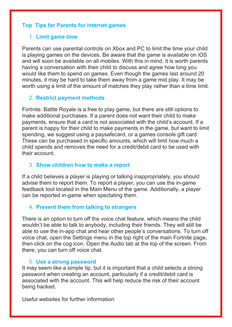# **Top Tips for Parents for internet games**

# 1. **Limit game time**

Parents can use parental controls on Xbox and PC to limit the time your child is playing games on the devices. Be aware that the game is available on iOS and will soon be available on all mobiles. With this in mind, it is worth parents having a conversation with their child to discuss and agree how long you would like them to spend on games. Even though the games last around 20 minutes, it may be hard to take them away from a game mid play. It may be worth using a limit of the amount of matches they play rather than a time limit.

# 2. **Restrict payment methods**

Fortnite: Battle Royale is a free to play game, but there are still options to make additional purchases. If a parent does not want their child to make payments, ensure that a card is not associated with the child's account. If a parent is happy for their child to make payments in the game, but want to limit spending, we suggest using a paysafecard, or a games console gift card. These can be purchased in specific amounts, which will limit how much a child spends and removes the need for a credit/debit card to be used with their account.

# 3. **Show children how to make a report**

If a child believes a player is playing or talking inappropriately, you should advise them to report them. To report a player, you can use the in-game feedback tool located in the Main Menu of the game. Additionally, a player can be reported in-game when spectating them.

# 4. **Prevent them from talking to strangers**

There is an option to turn off the voice chat feature, which means the child wouldn't be able to talk to anybody, including their friends. They will still be able to use the in-app chat and hear other people's conversations. To turn off voice chat, open the Settings menu in the top right of the main Fortnite page, then click on the cog icon. Open the Audio tab at the top of the screen. From there, you can turn off voice chat.

# 5. **Use a strong password**

It may seem like a simple tip, but it is important that a child selects a strong password when creating an account, particularly if a credit/debit card is associated with the account. This will help reduce the risk of their account being hacked.

Useful websites for further information: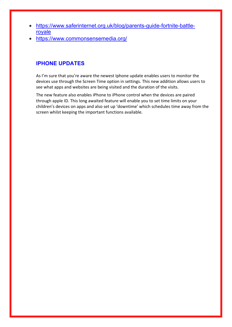- https://www.saferinternet.org.uk/blog/parents-guide-fortnite-battleroyale
- https://www.commonsensemedia.org/

# **IPHONE UPDATES**

As I'm sure that you're aware the newest Iphone update enables users to monitor the devices use through the Screen Time option in settings. This new addition allows users to see what apps and websites are being visited and the duration of the visits.

The new feature also enables iPhone to iPhone control when the devices are paired through apple ID. This long awaited feature will enable you to set time limits on your children's devices on apps and also set up 'downtime' which schedules time away from the screen whilst keeping the important functions available.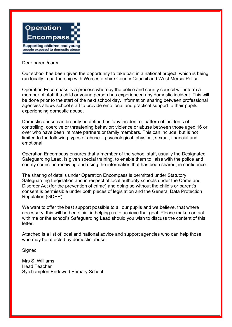

#### Dear parent/carer

Our school has been given the opportunity to take part in a national project, which is being run locally in partnership with Worcestershire County Council and West Mercia Police.

Operation Encompass is a process whereby the police and county council will inform a member of staff if a child or young person has experienced any domestic incident. This will be done prior to the start of the next school day. Information sharing between professional agencies allows school staff to provide emotional and practical support to their pupils experiencing domestic abuse.

Domestic abuse can broadly be defined as 'any incident or pattern of incidents of controlling, coercive or threatening behavior; violence or abuse between those aged 16 or over who have been intimate partners or family members. This can include, but is not limited to the following types of abuse – psychological, physical, sexual, financial and emotional.

Operation Encompass ensures that a member of the school staff, usually the Designated Safeguarding Lead, is given special training, to enable them to liaise with the police and county council in receiving and using the information that has been shared, in confidence.

The sharing of details under Operation Encompass is permitted under Statutory Safeguarding Legislation and in respect of local authority schools under the Crime and Disorder Act (for the prevention of crime) and doing so without the child's or parent's consent is permissible under both pieces of legislation and the General Data Protection Regulation (GDPR).

We want to offer the best support possible to all our pupils and we believe, that where necessary, this will be beneficial in helping us to achieve that goal. Please make contact with me or the school's Safeguarding Lead should you wish to discuss the content of this letter.

Attached is a list of local and national advice and support agencies who can help those who may be affected by domestic abuse.

**Signed** 

Mrs S. Williams Head Teacher Sytchampton Endowed Primary School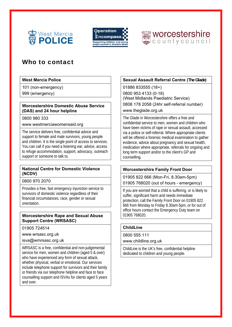





# Who to contact

# **West Mercia Police**

101 (non-emergency) 999 (emergency)

### **Worcestershire Domestic Abuse Service (DAS) and 24 hour helpline**

# 0800 980 333

www.westmerciawomensaid.org

The service delivers free, confidential advice and support to female and male survivors, young people and children. It is the single point of access to services. You can call if you need a listening ear, advice, access to refuge accommodation, support, advocacy, outreach support or someone to talk to.

# **National Centre for Domestic Violence (NCDV)**

# 0800 970 2070

Provides a free, fast emergency injunction service to survivors of domestic violence regardless of their financial circumstances, race, gender or sexual orientation.

### **Worcestershire Rape and Sexual Abuse Support Centre (WRSASC)**

01905 724514

www.wrsasc.org.uk

isva@wmrsasc.org.uk

WRSASC is a free, confidential and non-judgemental service for men, women and children (aged 5 & over) who have experienced any form of sexual attack, whether physical, verbal or emotional. Our services include telephone support for survivors and their family or friends via our telephone helpline and face to face counselling support and ISVAs for clients aged 5 years and over.

# **Sexual Assault Referral Centre (The Glade)**

01886 833555 (18+) 0800 953 4133 (0-18) (West Midlands Paediatric Service) 0808 178 2058 (24hr self-referral number) www.theglade.org.uk

The Glade in Worcestershire offers a free and confidential service to men, women and children who have been victims of rape or sexual assault, accessed via a police or self-referral. Where appropriate clients will be offered a forensic medical examination to gather evidence, advice about pregnancy and sexual health, medication where appropriate, referrals for ongoing and long term support and/or to the client's GP and counselling.

# **Worcestershire Family Front Door**

01905 822 666 (Mon-Fri, 8.30am-5pm)

01905 768020 (out of hours - emergency)

If you are worried that a child is suffering, or is likely to suffer, significant harm and needs immediate protection, call the Family Front Door on 01905 822 666 from Monday to Friday 8.30am-5pm, or for out of office hours contact the Emergency Duty team on 01905 768020.

# **ChildLine**

# 0800 555 111

www.childline.org.uk

ChildLine is the UK's free, confidential helpline dedicated to children and young people.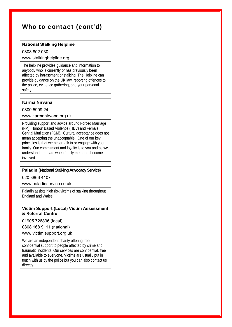# Who to contact (cont'd)

### **National Stalking Helpline**

#### 0808 802 030

### www.stalkinghelpline.org

The helpline provides guidance and information to anybody who is currently or has previously been affected by harassment or stalking. The Helpline can provide guidance on the UK law, reporting offences to the police, evidence gathering, and your personal safety.

### **Karma Nirvana**

### 0800 5999 24

#### www.karmanirvana.org.uk

Providing support and advice around Forced Marriage (FM), Honour Based Violence (HBV) and Female Genital Mutilation (FGM). Cultural acceptance does not mean accepting the unacceptable. One of our key principles is that we never talk to or engage with your family. Our commitment and loyalty is to you and as we understand the fears when family members become involved.

# **Paladin (National Stalking Advocacy Service)**

#### 020 3866 4107

www.paladinservice.co.uk

Paladin assists high risk victims of stalking throughout England and Wales.

#### **Victim Support (Local) Victim Assessment & Referral Centre**

01905 726896 (local)

0808 168 9111 (national)

www.victim support.org.uk

We are an independent charity offering free, confidential support to people affected by crime and traumatic incidents. Our services are confidential, free and available to everyone. Victims are usually put in touch with us by the police but you can also contact us directly.